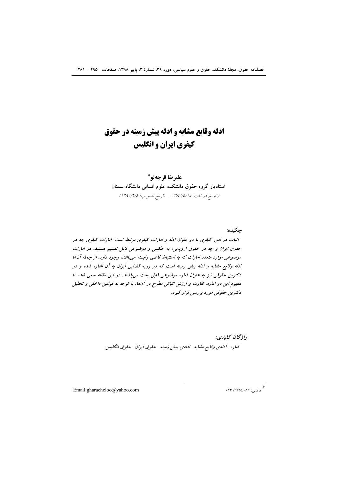# **ادله وقایع مشابه و ادله پیش زمینه در حقوق** کیفری ایران و انگلیس

عليرضا قرجهلو\* استادیار گروه حقوق دانشکده علوم انسانی دانشگاه سمنان (تاريخ دريافت: ١٣٨٧/٥/١٥ - تاريخ تصويب: ١٣٨٧/٦/٤)

جكيده: اثبات در امور کیفری با دو عنوان ادله و امارات کیفری مرتبط است. امارات کیفری چه در حقوق ايران و چه در حقوق اروپايي، به حكمي و موضوعي قابل تقسيم هستند. در امارات موضوعی موارد متعدد امارات که به استنباط قاضی وابسته می باشد، وجود دارد. از جمله آنها ادله وقایع مشابه و ادله پیش زمینه است که در رویه قضایی ایران به آن اشاره شده و در دکترین حقوقی نیز به عنوان اماره موضوعی قابل بحث میباشند. در این مقاله سعی شده تا مفهوم این دو اماره، تفاوت و ارزش اثباتی مطرح در آنها، با توجه به قوانین داخلی و تحلیل دکترین حقوقی مورد بررسی قرار گیرد.

> واژىحان يىلىدى: اماره- ادله ي وقايع مشابه- ادله ي پيش زمينه- حقوق ايران- حقوق انگليس.

Email:gharacheloo@yahoo.com

\*<br>فاکس: ۲۳۱۳۳٥٤٠۸۳ ۰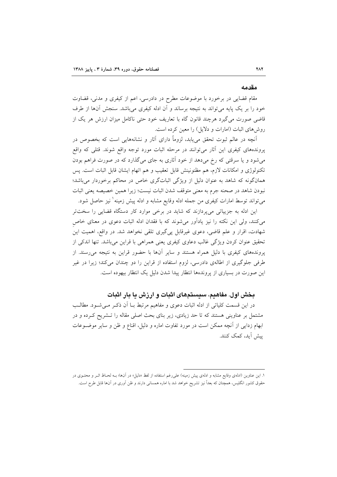#### مقدمه

مقام قضایی در برخورد با موضوعات مطرح در دادرسی، اعم از کیفری و مدنی، قضاوت خود را بر یک پایه میتواند به نتیجه برساند و آن ادله کیفری میباشد. سنجش آنها از طرف قاضی صورت می گیرد هرچند قانون گاه با تعاریف خود حتی ناکامل میزان ارزش هر یک از روشهای اثبات (امارات و دلایل) را معین کرده است.

آنچه در عالم ثبوت تحقق مییابد، لزوماً دارای آثار و نشانههایی است که بخصوص در پروندههای کیفری این آثار میتوانند در مرحله اثبات مورد توجه واقع شوند. قتلی که واقع می شود و یا سرقتی که رخ می دهد از خود آثاری به جای می گذارد که در صورت فراهم بودن تکنولوژی و امکانات لازم، هم مظنونینش قابل تعقیب و هم اتهام ایشان قابل اثبات است. پس همانگونه که شاهد به عنوان دلیل از ویژگی اثباتگری خاص در محاکم برخوردار میباشد؛ نبودن شاهد در صحنه جرم به معنى متوقف شدن اثبات نيست؛ زيرا همين خصيصه يعني اثبات ميتواند توسط امارات كيفري من جمله ادله وقايع مشابه و ادله پيش زمينه ٰ نيز حاصل شود.

این ادله به جزییاتی میپردازند که شاید در برخی موارد کار دستگاه قضایی را سختتر می کنند، ولی این نکته را نیز یادآور می شوند که با فقدان ادله اثبات دعوی در معنای خاص شهادت، اقرار و علم قاضی، دعوی غیرقابل پیگیری تلقی نخواهد شد. در واقع، اهمیت این تحقیق عنوان کردن ویژگی غالب دعاوی کیفری یعنی همراهی با قراین می باشد. تنها اندکی از پروندههای کیفری با دلیل همراه هستند و سایر آنها با حضور قراین به نتیجه می رسند. از طرفی جلوگیری از اطالهی دادرسی، لزوم استفاده از قراین را دو چندان میکند؛ زیرا در غیر این صورت در بسیاری از پروندهها انتظار پیدا شدن دلیل یک انتظار بیهوده است.

# بخش اول. مفاهیم، سیستمهای اثبات و ارزش یا بار اثبات

در این قسمت کلیاتی از ادله اثبات دعوی و مفاهیم مرتبط بــا آن ذکـر مــیشــود. مطالــب مشتمل بر عناوینی هستند که تا حد زیادی، زیر بنای بحث اصلی مقاله را تـشریح کـرده و در ابهام زدایی از آنچه ممکن است در مورد تفاوت اماره و دلیل، اقناع و ظن و سایر موضـوعات ىش أىد، كمك كنند.

۱. این عناوین (ادلهی وقایع مشابه و ادلهی پیش زمینه) علم رغم استفاده از لفظ «دلیل» در آنها؛ بــه لحــاظ اثــر و محتــوی در حقوق کشور انگلیس، همچنان که بعداً نیز تشریح خواهد شد با اماره همسانی دارند و ظن آوری در آن،ا قابل طرح است.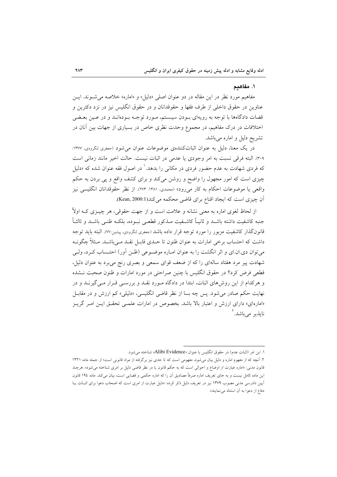#### ١. مفاهىم

مفاهیم مورد نظر در این مقاله در دو عنوان اصلی «دلیل» و «اماره» خلاصه می شـوند. ایـن عناوین در حقوق داخلی از طرف فقها و حقوقدانان و در حقوق انگلیس نیز در نزد دکترین و قضات دادگاهها با توجه به رویهای بـودن سیــستم، مـورد توجـه بـودهانــد و در عــین بعــضی اختلافات در درک مفاهیم، در مجموع وحدت نظری خاص در بسیاری از جهات بین آنان در تشریح دلیل و اماره میباشد.

در یک معنا، دلیل به عنوان اثباتکنندهی موضوعات عنوان می شود (جعفری لنگرودی، ۱۳۷۷: ۴۰۹). البته فرقي نسبت به امر وجودي يا عدمي در اثبات نيست. حالت اخير مانند زماني است که فردی شهادت به عدم حضور فردی در مکان<sub>ی</sub> را بدهد.<sup>۱</sup> در اصول فقه عنوان شده که «دلیل چیزی است که امور مجهول را واضح و روشن میکند و برای کشف واقع و پی بردن به حکم واقعی یا موضوعات احکام به کار میرود» (محمدی، ۱۳۸۱: ۲۷۳). از نظر حقوقدانان انگلیسی نیز آن چیزی است که ایجاد اقناع برای قاضی محکمه می کند(Kean, 2000:1).

از لحاظ لغوی اماره به معنی نشانه و علامت است و از جهت حقوقی، هر چیـزی کـه اولاً جنبه كاشفيت داشته باشــد و ثانيــاً كاشــفيت مــذكور قطعــى نبــوده، بلكــه ظنــى باشــد و ثالثــاً قانونگذار کاشفیت مزبور را مورد توجه قرار داده باشد (جعفری لنگرودی، پیشین:۷۷). البته باید توجه داشت که احتساب برخی امارات به عنوان ظنون تا حـدی قابـل نقـد مـی،باشـد. مـثلاً چگونـه می توان دی.ان.ای و اثر انگشت را به عنوان امباره موضـوعی (ظـن آور) احتـساب کـرد، ولـی شهادت پیر مرد هفتاد سالهای را که از ضعف قوای سمعی و بصری رنج میبرد به عنوان دلیل، قطعی فرض کرد؟ در حقوق انگلیس با چنین صراحتی در مورد امارات و ظنون صحبت نـشده و هرکدام از این روشهای اثبات، ابتدا در دادگاه مورد نقـد و بررسـی قـرار مـیگیرنـد و در نهایت حکم صادر می شود. پس چه بسا از نظر قاضی انگلیسی، «دلیلی» کم ارزش و در مقابـل «امارهای» دارای ارزش و اعتبار بالا باشد. بخصوص در امارات علمـی تحقـق ایـن امـر گریـز نابذہ مے باشد. آ

١. اين امر (اثبات عدم) در حقوق انگليس با عنوان «Alibi Evidence» شناخته مي شود.

۲. آنچه که از مفهوم اماره و دلیل بیان میشود، مفهومی است که تا حدی نیز برگرفته از مواد قانونی است؛ از جمله ماده ۱۳۲۱ قانون مدنی: «اماره عبارت از اوضاع و احوالی است که به حکم قانون یا در نظر قاضی دلیل بر امری شناخته میشود». هرچند این ماده کامل نیست و به جای تعریف اماره صرفاً مصادیق آن را که اماره حکمی و قضایی است، بیان میکند. ماده ۱۹٤ قانون اً پین دادرسی مدنی مصوب ۱۳۷۹ نیز در تعریف دلیل ذکر کرده: «دلیل عبارت از امری است که اصحاب دعوا برای اثبـات پـا دفاع از دعوا به آن استناد می نمایند».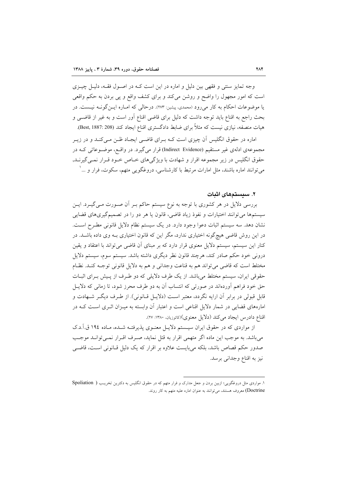وجه تمایز سنتی و فقهی بین دلیل و اماره در این است کـه در اصـول فقـه، دلیـل چیــزی است که امور مجهول را واضح و روشن میکند و برای کشف واقع و پی بردن به حکم واقعی یا موضوعات احکام به کار میرود (محمدی، پیشین: ۲۷۳). درحالی که امـاره ایـنگونـه نیـست. در بحث راجع به اقناع باید توجه داشت که دلیل برای قاضی اقناع آور است و به غیر از قاضـی و هیات منصفه، نیازی نیست که مثلاً برای ضابط دادگستری اقناع ایجاد کند (Best, 1887: 208).

اماره در حقوق انگلیس آن چیزی است کـه بـرای قاضـی ایجـاد ظـن مـیکنـد و در زیـر مجموعهی ادلهی غیر مستقیم (Indirect Evidence) قرار میگیرد. در واقع، موضـوعاتی کــه در حقوق انگلیس در زیر مجموعه اقرار و شهادت با ویژگیهای خـاص خـود قـرار نمـی گیرنــد, مي توانند اماره باشند، مثل امارات مرتبط با كارشناسي، دروغگويي متهم، سكوت، فرار و …'

#### ۲. سیستمهای اثبات

بررسی دلایل در هر کشوری با توجه به نوع سیستم حاکم بـر اَن صـورت مـی گیـرد. ایـن سیستمها می توانند اختیارات و نفوذ زیاد قاضی، قانون یا هر دو را در تصمیمگیریهای قضایی نشان دهد. سه سیستم اثبات دعوا وجود دارد. در یک سیستم نظام دلایل قانونی مطـرح اسـت. در این روش قاضی هیچگونه اختیاری ندارد، مگر این که قانون اختیاری بـه وی داده باشـد. در کنار این سیستم، سیستم دلایل معنوی قرار دارد که بر مبنای آن قاضی می تواند با اعتقاد و یقین درونی خود حکم صادر کند، هرچند قانون نظر دیگری داشته باشد. سیستم سوم، سیستم دلایل مختلط است كه قاضي مي تواند هم به قناعت وجداني و هم به دلايل قانوني توجـه كنـد. نظـام حقوقی ایران، سیستم مختلط می باشد. از یک طرف دلایلی که دو طرف از پیش بـرای اثبـات حق خود فراهم آوردهاند در صورتی که انتساب آن به دو طرف محرز شود، تا زمانی که دلایـل قابل قبولی در برابر آن ارایه نگردد، معتبر است (دلایـل قـانونی). از طـرف دیگـر شـهادت و امارههای قضایی در شمار دلایل اقناعی است و اعتبار آن وابسته به میـزان اثـری اسـت کــه در اقناع دادرس ايجاد مي كند (دلايل معنوي)(كاتوزيان. ١٣٨٠: ٢٧).

از مواردی که در حقوق ایران سیستم دلایـل معنـوی پذیرفتـه شـده، مـاده ١٩٤ ق.آ.د.ک می باشد. به موجب این ماده اگر متهمی اقرار به قتل نماید، صـرف اقـرار نمـی توانـد موجـب صدور حکم قصاص باشد، بلکه میبایست علاوه بر اقرار که یک دلیل قـانونی اسـت، قاضـی نيز به اقناع وجداني برسد.

۱. مواردی مثل دروغگویی؛ ازبین بردن و جعل مدارک و فرار متهم که در حقوق انگلیس به دکترین تخریب ( Spoliation Doctrine) معروف هستند، می توانند به عنوان اماره علیه متهم به کار روند.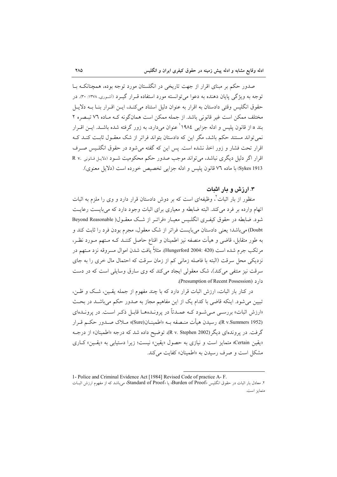صدور حکم بر مبنای اقرار از جهت تاریخی در انگلستان مورد توجه بوده، همچنانکـه بــا توجه به ویژگی پایان دهنده به دعوا می توانسته مورد استفاده قـرار گیـرد (أشـوری, ۱۳۷۸: ۳۰). در حقوق انگلیس وقتی دادستان به اقرار به عنوان دلیل استناد می کنـد، ایــن اقــرار بنــا بــه دلایــل مختلف ممکن است غیر قانونی باشد. از جمله ممکن است همانگونه کـه مـاده ۷٦ تبـصره ۲ بند a از قانون پلیس و ادله جزایی ۱۹۸٤<sup>'</sup> عنوان میدارد، به زور گرفته شده باشـد. ایــن اقــرار نمی تواند مستند حکم باشد، مگر این که دادستان بتواند فراتر از شک معقـول ثابـت کنــد کــه اقرار تحت فشار و زور اخذ نشده است. پس این که گفته می شود در حقوق انگلـیس صـرف اقرار اگر دلیل دیگری نباشد، می تواند موجب صدور حکم محکومیت شـود (دلایـل قـانونی .R v Sykes 1913) با ماده ٧٦ قانون يليس و ادله جزايي تخصيص خورده است (دلايل معنوي).

# ۳. ارزش و مار اشات

منظور از بار اثبات ٔ، وظیفهای است که بر دوش دادستان قرار دارد و وی را ملزم به اثبات اتهام وارده بر فرد می کند. البته ضابطه و معیاری برای اثبات وجود دارد که می بایست رعایت شود. ضابطه در حقوق کیفـری انگلـیس معیـار «فراتـر از شـک معقـول( Beyond Reasonable Doubt) می باشد؛ یعنی دادستان می بایست فراتر از شک معقول، مجرم بودن فرد را ثابت کند و به طور متقابل، قاضی و هیأت منصفه نیز اطمینان و اقناع حاصل کننــد کــه مــتهم مــورد نظـر، مرتكب جرم شده است (Hungerford 2004: 420). مثلاً يافت شدن اموال مسروقه نزد مــتهم در نزدیکی محل سرقت (البته با فاصله زمانی کم از زمان سرقت که احتمال مال خری را به جای سرقت نیز منتفی می کند)، شک معقولی ایجاد می کند که وی سارق وسایلی است که در دست دار د (Presumption of Recent Possession).

در کنار بار اثبات، ارزش اثبات قرار دارد که با چند مفهوم از جمله یقین، شک و ظـن، تبیین می شود. اینکه قاضی با کدام یک از این مفاهیم مجاز به صدور حکم می باشـد در بحـث «ارزش اثبات» بررسـی مـیشـود کـه عمـدتاً در پرونـدههـا قابـل ذکـر اسـت. در پرونـدهای (R v.Summers 1952)، رسيدن هيأت منـصفه بــه «اطمينــان(Sure)» مــلاک صــدور حکــم قــرار گرفت. در پروندهای دیگر(R v. Stephen 2002)، توضیح داده شد که درجه «اطمینان» از درجــه «يقين Certain» متمايز است و نيازي به حصول «يقين» نيست؛ زيرا دستيابي به «يقـين» كـاري مشکل است و صرف رسیدن به «اطمینان» کفایت می کند.

<sup>1-</sup> Police and Criminal Evidence Act [1984] Revised Code of practice A-F. ۲. معادل بار اثبات در حقوق انگلیس «Burden of Proof» یا «Standard of Proof» می باشد که از مفهوم ارزش اثبــات متمايز است.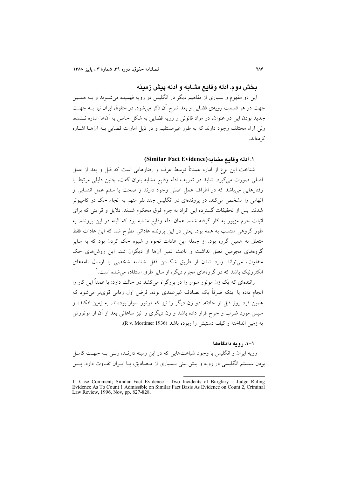# يخش دوم. ادله وقايع مشايه و ادله پيش زمينه

این دو مفهوم و بسیاری از مفاهیم دیگر در انگلیس در رویه فهمیده می شــوند و بــه همــین جهت در هر قسمت رویهی قضایی و بعد شرح آن ذکر میشود. در حقوق ایران نیز بـه جهـت جدید بودن این دو عنوان، در مواد قانونی و رویه قضایی به شکل خاص به آنها اشاره نـشده، ولی آراء مختلف وجود دارند که به طور غیرمستقیم و در ذیل امارات قضایی بـه آنهـا اشــاره کر دہاند.

#### ١. ادله وقامع مشامه (Similar Fact Evidence)

شناخت این نوع از اماره عمدتاً توسط عرف و رفتارهایی است که قبل و بعد از عمل اصلی صورت میگیرد. شاید در تعریف ادله وقایع مشابه بتوان گفت، چنین دلیلی مرتبط با رفتارهایی می باشد که در اطراف عمل اصلی وجود دارند و صحت یا سقم عمل انتسابی و اتهام<sub>ی،</sub> را مشخص می کند. در پروندهای در انگلیس چند نفر متهم به انجام حک در کامپیوتر شدند. پس از تحقیقات گسترده این افراد به جرم فوق محکوم شدند. دلایل و قراینی که برای اثبات جرم مزبور به کار گرفته شده، همان ادله وقایع مشابه بود که البته در این پرونده، به طور گروهی منتسب به همه بود. یعنی در این پرونده عاداتی مطرح شد که این عادات فقط متعلق به همین گروه بود. از جمله این عادات نحوه و شیوه حک کردن بود که به سایر گروههای مجرمین تعلق نداشت و باعث تمیز آنها از دیگران شد. این روشهای حک متفاوت، می تواند وارد شدن از طریق شکستن قفل شناسه شخصی یا ارسال نامههای الکترونیک باشد که در گروههای مجرم دیگر، از سایر طرق استفاده می شده است. ٰ

رانندهای که یک زن موتور سوار را در بزرگراه میکشد دو حالت دارد: یا عمداً این کار را انجام داده یا اینکه صرفاً یک تصادف غیرعمدی بوده. فرض اول زمانی قویتر می شود که همین فرد روز قبل از حادثه، دو زن دیگر را نیز که موتور سوار بودهاند، به زمین افکنده و سپس مورد ضرب و جرح قرار داده باشد و زن دیگری را نیز ساعاتی بعد از آن از موتورش به زمین انداخته و کیف دستیش را ربوده باشد (R v. Mortimer 1936).

#### ١-١. رومه دادگاهها

رویه ایران و انگلیس با وجود شباهتهایی که در این زمینه دارنـد، ولـی بـه جهـت کامـل بودن سیستم انگلیسی در رویه و پیش بینی بـسیاری از مـصادیق، بـا ایـران تفـاوت دارد. پـس

<sup>1-</sup> Case Comment; Similar Fact Evidence - Two Incidents of Burglary - Judge Ruling Evidence As To Count 1 Admissible on Similar Fact Basis As Evidence on Count 2, Criminal Law Review, 1996, Nov, pp. 827-828.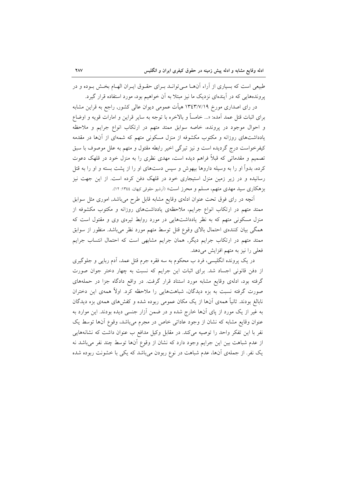طبیعی است که بسیاری از آراء آنهـا مـیتوانــد بــرای حقــوق ایــران الهــام بخــش بــوده و در یروندههایی که در آیندهای نزدیک ما نیز مبتلا به آن خواهیم بود، مورد استفاده قرار گیرد.

در رای اصداری مورخ ۱۳٤٣/۷/۱۹ هیأت عمومی دیوان عالی کشور, راجع به قراین مشابه برای اثبات قتل عمد آمده: «... خامساً و بالاخره با توجه به سایر قراین و امارات قویه و اوضاع و احوال موجود در پرونده، خاصه سوابق ممتد متهم در ارتکاب انواع جرایم و ملاحظه یادداشتهای روزانه و مکتوب مکشوفه از منزل مسکونی متهم که شمهای از آنها در مقدمه کیفرخواست درج گردیده است و نیز تیرگی اخیر رابطه مقتول و متهم به علل موصوف با سبق تصمیم و مقدماتی که قبلاً فراهم دیده است، مهدی نظری را به منزل خود در قلهک دعوت کرده، بدواً او را به وسیله داروها بیهوش و سپس دستهای او را از پشت بسته و او را به قتل رسانیده و در زیر زمین منزل استیجاری خود در قلهک دفن کرده است. از این جهت نیز بز هکاری سید مهدی متهم، مسلم و محرز است» (اَرشیو حقوقی کیهان، ۱۳٤٤: ۱۲).

أنچه در رای فوق تحت عنوان ادلهی وقایع مشابه قابل طرح میباشد, اموری مثل سوابق ممتد متهم در ارتکاب انواع جرایم، ملاحظهی یادداشتهای روزانه و مکتوب مکشوفه از منزل مسکونی متهم که به نظر یادداشتهایی در مورد روابط تیرهی وی و مقتول است که همگی بیان کنندهی احتمال بالای وقوع قتل توسط متهم مورد نظر میباشد. منظور از سوابق ممتد متهم در ارتکاب جرایم دیگر, همان جرایم مشابهی است که احتمال انتساب جرایم فعلی را نیز به متهم افزایش میدهد.

در یک پرونده انگلیسی، فرد ب محکوم به سه فقره جرم قتل عمد، آدم ربایی و جلوگیری از دفن قانونی اجساد شد. برای اثبات این جرایم که نسبت به چهار دختر جوان صورت گرفته بود، ادلهی وقایع مشابه مورد استناد قرار گرفت. در واقع دادگاه جزا در حملههای صورت گرفته نسبت به بزه دیدگان، شباهتهایی را ملاحظه کرد. اولاً همهی این دختران نابالغ بودند. ثانیاً همهی آنها از یک مکان عمومی ربوده شده و کفشهای همهی بزه دیدگان به غیر از یک مورد از پای آنها خارج شده و در ضمن آزار جنسی دیده بودند. این موارد به عنوان وقايع مشابه كه نشان از وجود عاداتي خاص در مجرم مي باشد، وقوع آنها توسط يک نفر با این تفکر واحد را توصیه میکند. در مقابل وکیل مدافع ب عنوان داشت که نشانههایی از عدم شباهت بین این جرایم وجود دارد که نشان از وقوع آنها توسط چند نفر میباشد نه یک نفر. از جملهی آنها، عدم شباهت در نوع ربودن می باشد که یکی با خشونت ربوده شده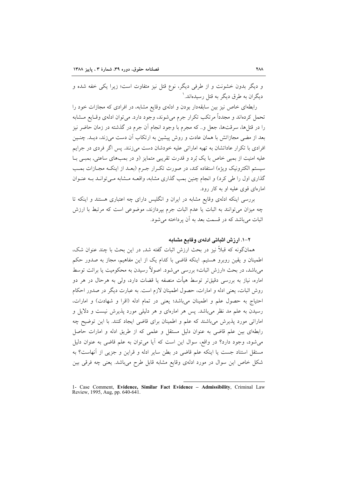و دیگر بدون خشونت و از طرفی دیگر، نوع قتل نیز متفاوت است؛ زیرا یکی خفه شده و دىگران په طرق دېگر په قتل رسېدهاند. ۱

رابطهای خاص نیز بین سابقهدار بودن و ادلهی وقایع مشابه، در افرادی که مجازات خود را تحمل کردهاند و مجدداً مرتکب تکرار جرم می شوند، وجود دارد. می توان ادلهی وقـایع مــشابه را در قتلها، سرقتها، جعل و.. که مجرم با وجود انجام آن جرم در گذشته در زمان حاضر نیز بعد از مضی مجازاتش با همان عادت و روش پیشین به ارتکاب آن دست می زند، دیــد. چنــین افرادی با تکرار عاداتشان به تهیه اماراتی علیه خودشان دست می زنند. پس اگر فردی در جرایم علیه امنیت از بمبی خاص با یک بُرد و قدرت تقریبی متمایز (و در بمبهای ساعتی, بمبـی بــا سیستم الکترونیک ویژه) استفاده کند، در صورت تکـرار جـرم (بعـد از اینکـه مجـازات بمـب گذاری اول را طی کرد) و انجام چنین بمب گذاری مشابه، واقعــه مــشابه مــی توانــد بــه عنــوان امارهای قوی علیه او به کار رود.

بررسی اینکه ادلهی وقایع مشابه در ایران و انگلیس دارای چه اعتباری هستند و اینکه تا چه میزان میتوانند به اثبات یا عدم اثبات جرم بپردازند، موضوعی است که مرتبط با ارزش اثبات می باشد که در قسمت بعد به آن پرداخته می شود.

# ۲–۱. ارزش اثباتی ادلهی وقایع مشابه

همانگونه که قبلاً نیز در بحث ارزش اثبات گفته شد, در این بحث با چند عنوان شک، اطمینان و یقین روبرو هستیم. اینکه قاضی با کدام یک از این مفاهیم، مجاز به صدور حکم می باشد، در بحث «ارزش اثبات» بررسی می شود. اصولاً رسیدن به محکومیت یا برائت توسط اماره، نیاز به بررسی دقیقتر توسط هیأت منصفه یا قضات دارد، ولی به هرحال در هر دو روش اثبات، یعنی ادله و امارات، حصول اطمینان لازم است. به عبارت دیگر در صدور احکام احتياج به حصول علم و اطمينان مي باشد؛ يعني در تمام ادله (اقرا و شهادت) و امارات، رسیدن به علم مد نظر میباشد. پس هر امارهای و هر دلیلی مورد پذیرش نیست و دلایل و اماراتی مورد پذیرش می باشند که علم و اطمینان برای قاضی ایجاد کنند. با این توضیح چه رابطهای بین علم قاضی به عنوان دلیل مستقل و علمی که از طریق ادله و امارات حاصل می شود، وجود دارد؟ در واقع، سوال این است که آیا می توان به علم قاضی به عنوان دلیل مستقل استناد جست یا اینکه علم قاضی در بطن سایر ادله و قراین و جزیی از آنهاست؟ به شکل خاص این سوال در مورد ادلهی وقایع مشابه قابل طرح میباشد. یعنی چه فرقی بین

<sup>1-</sup> Case Comment, Evidence, Similar Fact Evidence - Admissibility, Criminal Law Review, 1995, Aug, pp. 640-641.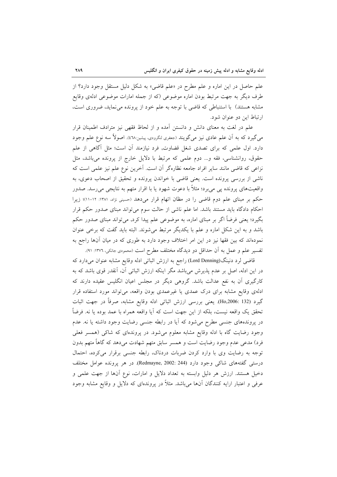علم حاصل در این اماره و علم مطرح در «علم قاضی» به شکل دلیل مستقل وجود دارد؟ از طرف دیگر به جهت مرتبط بودن اماره موضوعی (که از جمله امارات موضوعی ادلهی وقایع مشابه هستند) با استنباطی که قاضی با توجه به علم خود از پرونده می نماید، ضروری است، ارتباط اين دو عنوان شود.

علم در لغت به معنای دانش و دانستن آمده و از لحاظ فقهی نیز مترادف اطمینان قرار میگیرد که به اّن علم عادی نیز میگویند (جعفری لنگرودی، پیشین:۲۸). اصولاً سه نوع علم وجود دارد. اول علمی که برای تصدی شغل قضاوت, فرد نیازمند آن است؛ مثل آگاهی از علم حقوق، روانشناسی، فقه و... دوم علمی که مرتبط با دلایل خارج از پرونده می باشد، مثل نزاعی که قاضی مانند سایر افراد جامعه نظارهگر آن است. آخرین نوع علم نیز علمی است که ناشی از بررسی پرونده است. یعنی قاضی با خواندن پرونده و تحقیق از اصحاب دعوی، به واقعیتهای پرونده یی می برد؛ مثلاً با دعوت شهود یا با اقرار متهم به نتایجی می رسد. صدور حکم بر مبنای علم دوم قاضی را در مظان اتهام قرار میدهد (حسینی نژاد، ۱۳۸۱: ۱۲-۱۱)؛ زیرا احکام دادگاه باید مستند باشد. اما علم ناشی از حالت سوم میتواند مبنای صدور حکم قرار بگیرد؛ یعنی فرضاً اگر بر مبنای اماره، به موضوعی علم پیدا کرد, میتواند مبنای صدور حکم باشد و به این شکل اماره و علم با یکدیگر مرتبط می شوند. البته باید گفت که برخی عنوان نمودهاند که بین فقها نیز در این امر اختلاف وجود دارد به طوری که در میان آنها راجع به تفسیر علم و عمل به آن حداقل دو دیدگاه مختلف مطرح است (محمودی جانکی، ١٣٧٦: ٩١).

قاضی لرد دنینگ(Lord Denning) راجع به ارزش اثباتی ادله وقایع مشابه عنوان میدارد که در این ادله، اصل بر عدم پذیرش میباشد مگر اینکه ارزش اثباتی آن، آنقدر قوی باشد که به کارگیری آن به نفع عدالت باشد. گروهی دیگر در مجلس اعیان انگلیس عقیده دارند که ادلهی وقایع مشابه برای درک عمدی یا غیرعمدی بودن واقعه، میتواند مورد استفاده قرار گيرد (Ho,2006: 132). يعني بررسي ارزش اثباتي ادله وقايع مشابه، صرفاً در جهت اثبات تحقق یک واقعه نیست، بلکه از این جهت است که آیا واقعه همراه با عمد بوده یا نه. فرضاً در پروندههای جنسی مطرح میشود که آیا در رابطه جنسی رضایت وجود داشته یا نه. عدم وجود رضایت گاه با ادله وقایع مشابه معلوم میشود. در پروندهای که شاکی (همسر فعلی فرد) مدعی عدم وجود رضایت است و همسر سابق متهم شهادت میدهد که گاهاً متهم بدون توجه به رضایت وی با وارد کردن ضربات دردناک، رابطه جنسی برقرار میکرده، احتمال درستی گفتههای شاکی وجود دارد (Redmayne, 2002: 244). در هر پرونده عوامل مختلف دخیل هستند. ارزش هر دلیل وابسته به تعداد دلایل و امارات، نوع آنها از جهت علمی و عرفی و اعتبار ارایه کنندگان آنها می باشد. مثلاً در پروندهای که دلایل و وقایع مشابه وجود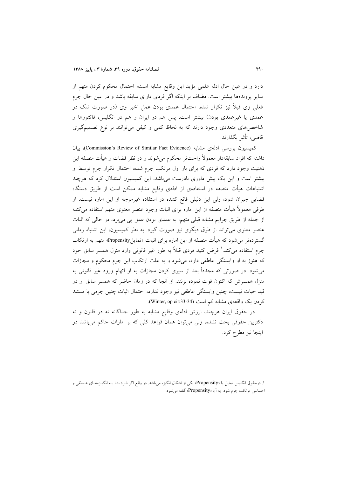دارد و در عین حال ادله علمی مؤید این وقایع مشابه است؛ احتمال محکوم کردن متهم از سایر پروندهها بیشتر است. مضاف بر اینکه اگر فردی دارای سابقه باشد و در عین حال جرم فعلی وی قبلاً نیز تکرار شده، احتمال عمدی بودن عمل اخیر وی (در صورت شک در عمدی یا غیرعمدی بودن) بیشتر است. پس هم در ایران و هم در انگلیس، فاکتورها و شاخصهای متعددی وجود دارند که به لحاظ کمی و کیفی میتوانند بر نوع تصمیمگیری قاضي، تأثير بگذارند.

كميسيون بررسي ادلهي مشابه (Commission's Review of Similar Fact Evidence)، بيان داشته که افراد سابقهدار معمولاً راحتتر محکوم می شوند و در نظر قضات و هیأت منصفه این ذهنیت وجود دارد که فردی که برای بار اول مرتکب جرم شده، احتمال تکرار جرم توسط او بیشتر است و این یک پیش داوری نادرست می باشد. این کمیسیون استدلال کرد که هرچند اشتباهات هیأت منصفه در استفادهی از ادلهی وقایع مشابه ممکن است از طریق دستگاه قضایی جبران شود، ولی این دلیلی قانع کننده در استفاده غیرموجه از این اماره نیست. از طرفی معمولاً هیأت منصفه از این اماره برای اثبات وجود عنصر معنوی متهم استفاده می کند؛ از جمله از طریق جرایم مشابه قبلی متهم، به عمدی بودن عمل پی می برد، در حالی که اثبات عنصر معنوی میتواند از طرق دیگری نیز صورت گیرد. به نظر کمیسیون، این اشتباه زمانی گستردهتر می شود که هیأت منصفه از این اماره برای اثبات «تمایلPropensity» متهم به ارتکاب جرم استفاده میکند.' فرض کنید فردی قبلاً به طور غیر قانونی وارد منزل همسر سابق خود که هنوز به او وابستگی عاطفی دارد، می شود و به علت ارتکاب این جرم محکوم و مجازات می،شود. در صورتی که مجدداً بعد از سیری کردن مجازات به او اتهام ورود غیر قانونی به منزل همسرش که اکنون فوت نموده بزنند. از أنجا که در زمان حاضر که همسر سابق او در قيد حيات نيست، چنين وابستگي عاطفي نيز وجود ندارد، احتمال اثبات چنين جرمي با مستند کردن یک واقعهی مشابه کم است (Winter, op cit:33-34).

در حقوق ایران هرچند، ارزش ادلهی وقایع مشابه به طور جداگانه نه در قانون و نه دکترین حقوقی بحث نشده، ولی می توان همان قواعد کلی که بر امارات حاکم می باشد در اينجا نيز مطرح كرد.

۱. درحقوق انگلیس تمایل یا «Propensity» یکی از اشکال انگیزه میباشد. در واقع اگر فـرد بنـا بـه انگیــزههـای عــاطفی و احساسی مرتکب جرم شود به آن «Propensity» گفته می شود.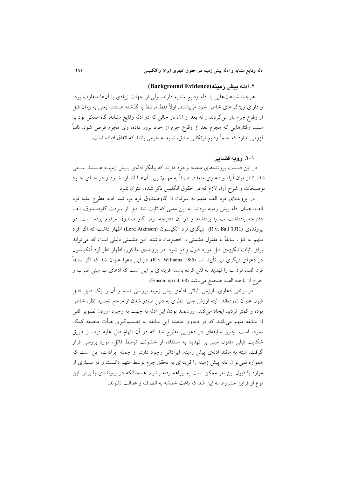#### ٢. ادله يعش زمعنه (Background Evidence)

هرچند شباهتهایی با ادله وقایع مشابه دارند، ولی از جهات زیادی با آنها متفاوت بوده و دارای ویژگی۵ای خاص خود میباشند. اولاً فقط مرتبط با گذشته هستند، یعنی به زمان قبل از وقوع جرم باز میگردند و نه بعد از آن، در حالی که در ادله وقایع مشابه، گاه ممکن بود به سبب رفتارهایی که مجرم بعد از وقوع جرم از خود بروز داده، وی مجرم فرض شود. ثانیاً لزومی ندارد که حتماً وقایع ارتکابی سابق، شبیه به جرمی باشد که اتفاق افتاده است.

#### ۰۱–۲. رومه قضامی

در این قسمت پروندههای متعدد وجود دارند که بیانگر ادلهی پـیش زمینــه هــستند. ســعی شده تا از میان آراء و دعاوی متعدد، صرفاً به مهـمتـرین آنهـا اشـاره شـود و در جـای خــود توضیحات و شرح آراء لازم که در حقوق انگلیس ذکر شده، عنوان شود.

در پروندهای فرد الف متهم به سرقت از گاوصندوق فرد ب شد. ادله مطرح علیه فرد الف، همان ادله پیش زمینه بودند. به این معنی که ثابت شد قبل از سرقت گاوصندوق، الف دفترچه یادداشت ب را برداشته و در آن دفترچه، رمز گاو صندوق مرقوم بوده است. در يروندهي (R v. Ball 1911) ديگري لرد آتكينسون (Lord Atkinson) اظهار داشت كه اگر فرد متهم به قتل، سابقاً با مقتول دشمنی و خصومت داشته، این دشمنی دلیلی است که می تواند برای اثبات انگیزهی قتل مورد قبول واقع شود. در پروندهی مذکور، اظهار نظر لرد آتکینسون در دعوای دیگری نیز تأیید شد (R v. Williams 1985). در این دعوا عنوان شد که اگر سابقاً فرد الف، فرد ب را تهدید به قتل کرده باشد؛ قرینهای بر این است که ادعای ب مبنی ضرب و جرح از ناحيه الف، صحيح مي باشد (Emson, op cit: 68).

در برخی دعاوی، ارزش اثباتی ادلهی پیش زمینه بررسی شده و آن را یک دلیل قابل قبول عنوان نمودهاند. البته ارزش چنین نظری به دلیل صادر شدن از مرجع تجدید نظر، خاص بوده و كمتر ترديد ايجاد مىكند. ارزشمند بودن اين ادله به جهت به وجود آوردن تصوير كلى از سابقه متهم میباشد که در دعاوی متعدد این سابقه به تصمیمگیری هیأت منصفه کمک نموده است. چنین سابقهای در دعوایی مطرح شد که در آن اتهام قتل علیه فرد، از طریق شکایت قبلی مقتول مبنی بر تهدید به استفاده از خشونت توسط قاتل، مورد بررسی قرار گرفت. البته به مانند ادلهی پیش زمینه، ایراداتی وجود دارد. از جمله ایرادات، این است که همواره نمی توان ادله پیش زمینه را قرینهای به تحقق جرم توسط متهم دانست و در بسیاری از موارد با قبول این امر ممکن است به بیراهه رفته باشیم. همچنانکه در پروندهای پذیرش این نوع از قراین مشروط به این شد که باعث خدشه به انصاف و عدالت نشوند.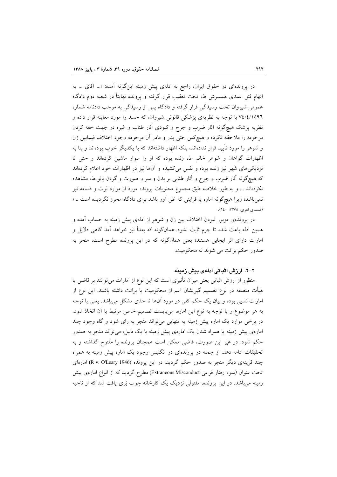در پروندهای در حقوق ایران، راجع به ادلهی پیش زمینه این گونه آمده: «... اّقای ... به اتهام قتل عمدی همسرش ط، تحت تعقیب قرار گرفته و پرونده نهایتاً در شعبه دوم دادگاه عمومی شیروان تحت رسیدگی قرار گرفته و دادگاه پس از رسیدگی به موجب دادنامه شماره ۷٤/٤/١٥٩٦ با توجه به نظریهی پزشکی قانونی شیروان، که جسد را مورد معاینه قرار داده و نظریه پزشک هیچگونه آثار ضرب و جرح و کبودی آثار طناب و غیره در جهت خفه کردن مرحومه را ملاحظه نکرده و هیچکس حتی پدر و مادر أن مرحومه وجود اختلاف فیمابین زن و شوهر را مورد تأیید قرار ندادهاند، بلکه اظهار داشتهاند که با یکدیگر خوب بودهاند و بنا به اظهارات گواهان و شوهر خانم ط، زنده بوده که او را سوار ماشین کردهاند و حتی تا نزدیکیهای شهر نیز زنده بوده و نفس میکشیده و آنها نیز در اظهارات خود اعلام کردهاند که هیچگونه آثار ضرب و جرح و آثار طنابی بر بدن و سر و صورت و گردن بانو ط، مشاهده نکردهاند … و به طور خلاصه طبق مجموع محتويات پرونده مورد از موارد لوث و قسامه نيز نمیباشد؛ زیرا هیچگونه اماره یا قراینی که ظن آور باشد برای دادگاه محرز نگردیده است ...» (صمدی اهری, ۱۳۷۵: ۱٤۰).

در پروندهی مزبور نبودن اختلاف بین زن و شوهر از ادلهی پیش زمینه به حساب آمده و همین ادله باعث شده تا جرم ثابت نشود. همانگونه که بعداً نیز خواهد آمد گاهی دلایل و امارات دارای اثر ایجابی هستند؛ یعنی همانگونه که در این پرونده مطرح است، منجر به صدور حکم برائت می شوند نه محکومیت.

### ۲–۲. ارزش اثباتی ادلهی پیش زمینه

منظور از ارزش اثباتی یعنی میزان تأثیری است که این نوع از امارات میتوانند بر قاضی یا هیأت منصفه در نوع تصمیم گیریشان اعم از محکومیت یا برائت داشته باشند. این نوع از امارات نسبی بوده و بیان یک حکم کلی در مورد آنها تا حدی مشکل میباشد. یعنی با توجه به هر موضوع و با توجه به نوع این اماره، میبایست تصمیم خاص مرتبط با آن اتخاذ شود. در برخی موارد یک اماره پیش زمینه به تنهایی میتواند منجر به رای شود و گاه وجود چند امارهی پیش زمینه یا همراه شدن یک امارهی پیش زمینه با یک دلیل، می تواند منجر به صدور حکم شود. در غیر این صورت، قاضی ممکن است همچنان پرونده را مفتوح گذاشته و به تحقیقات ادامه دهد. از جمله در پروندهای در انگلیس وجود یک اماره پیش زمینه به همراه چند قرینهی دیگر منجر به صدور حکم گردید. در این پرونده (R v. O'Leary 1946) امارهای تحت عنوان (سوء رفتار فرعی Extraneous Misconduct) مطرح گردید که از انواع امارهی پیش زمینه میباشد. در این پرونده، مقتولی نزدیک یک کارخانه چوب بُری یافت شد که از ناحیه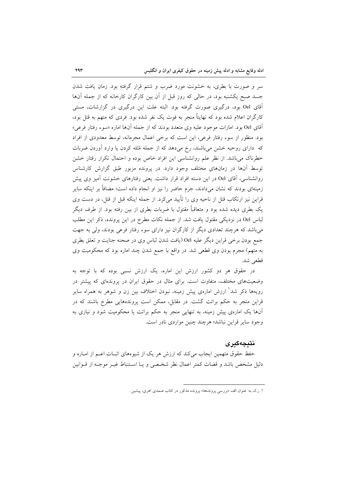سر و صورت با بطری، به خشونت مورد ضرب و شتم قرار گرفته بود. زمان یافت شدن جسد صبح یکشنبه بود، در حالی که روز قبل از آن بین کارگران کارخانه که از جمله آنها آقای Oel بود، درگیری صورت گرفته بود. البته علت این درگیری در گزارشات، مستبی کارگران اعلام شده بود که نهایتاً منجر به فوت یک نفر شده بود. فردی که متهم به قتل بود، آقای Oel بود. امارات موجود علیه وی متعدد بودند که از جمله آنها اماره «سوء رفتار فرعی» بود. منظور از سوء رفتار فرعي، اين است كه برخي اعمال مجرمانه، توسط معدودي از افراد که دارای روحیه خشن میباشند، رخ میدهد که از جمله مُثله کردن یا وارد آوردن ضربات خطرناک می باشد. از نظر علم روانشناسی این افراد خاص بوده و احتمال تکرار رفتار خشن توسط آنها در زمانهای مختلف وجود دارد. در پرونده مزبور طبق گزارش کارشناس روانشناسی، آقای Oel در این دسته افراد قرار داشت. یعنی رفتارهای خشونت آمیز وی پیش زمینهای بودند که نشان میدادند، جرم حاضر را نیز او انجام داده است؛ مضافاً بر اینکه سایر قراین نیز ارتکاب قتل از ناحیه وی را تأیید میکرد. از جمله اینکه قبل از قتل، در دست وی یک بطری دیده شده بود و متعاقباً مقتول با ضربات بطری از بین رفته بود. از طرف دیگر لباس Oel در نزدیکی مقتول یافت شد. از جمله نکات مطرح در این پرونده، ذکر این مطلب میباشد که هرچند تعدادی دیگر از کارگران نیز دارای سوء رفتار فرعی بودند، ولی به جهت جمع بودن برخي قراين ديگر عليه Oel (يافت شدن لباس وي در صحنه جنايت و تعلق بطري به متهم) مجرم بودن وي قطعي شد. در واقع با جمع شدن چند اماره بود كه محكوميت وي قطعي شد.

در حقوق هر دو کشور ارزش این اماره، یک ارزش نسبی بوده که با توجه به وضعیتهای مختلف، متفاوت است. برای مثال در حقوق ایران در پروندهای که پیشتر در رویهها ذکر شد ٰ ارزش امارهی پیش زمینه، نبودن اختلاف بین زن و شوهر به همراه سایر قراین منجر به حکم برائت گشت. در مقابل، ممکن است پروندههایی مطرح باشند که در آنها یک امارهی پیش زمینه، به تنهایی منجر به حکم برائت یا محکومیت شود و نیازی به وجود ساير قراين نباشد؛ هرچند چنين مواردي نادر است.

## نتىجەگىرى

حفظ حقوق متهمین ایجاب می کند که ارزش هر یک از شیوههای اثبـات اعــم از امــاره و دلیل مشخص باشد و قضات کمتر اعمال نظر شخصی و یـا اسـتنباط غیـر موجـه از قــوانین

۱. ر.ک به: عنوان الف «بررسی پروندهها» پرونده مذکور در کتاب صمدی اهری، پیشین.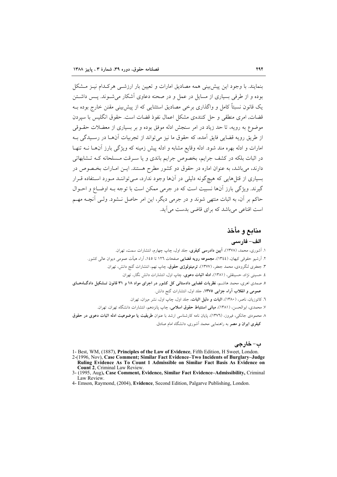بنمایند. با وجود این پیش بینی همه مصادیق امارات و تعیین بار ارزشــی هرکـدام نیـز مــشکل بوده و از طرفی بسیاری از مسایل در عمل و در صحنه دعاوی آشکار می شیوند. پس داشتن یک قانون نسبتاً کامل و واگذاری برخی مصادیق استثنایی که از پیش بینی مقنن خارج بوده بـه قضات, امری منطقی و حل کنندهی مشکل اعمال نفوذ قضات است. حقوق انگلیس با سیردن موضوع به رویه، تا حد زیاد در امر سنجش ادله موفق بوده و بر بسیاری از معضلات حقــوقی از طريق رويه قضايي فايق آمده، كه حقوق ما نيز مي تواند از تجربيات آنهــا در رســيدگي بــه امارات و ادله بهره مند شود. ادله وقایع مشابه و ادله پیش زمینه که ویژگی بارز آنها نــه تنهـا در اثبات بلکه در کشف جرایم، بخصوص جرایم باندی و یا سـرقت مـسلحانه کـه تـشابهاتی دارند، می باشد، به عنوان اماره در حقوق دو کشور مطرح هستند. ایــن امــارات بخــصوص در بسیاری از قتل هایی که هیچگونه دلیلی در آنها وجود ندارد، مـی تواننــد مـورد اسـتفاده قـرار گیرند. و یژگی بارز آنها نسبیت است که در جرمی ممکن است با توجه بـه اوضـاع و احـوال حاکم بر آن، به اثبات منتهی شوند و در جرمی دیگر، این امر حاصل نـــشود. ولــی آنچــه مهــم است اقناعی می باشد که برای قاضی بدست می آید.

# منابع و مأخذ

#### الف- فارسي

- ۱. آشوری، محمد، (۱۳۷۸)، <mark>آیین دادرسی کیفری</mark>، جلد اول، چاپ چهارم، انتشارات سمت، تهران<sub>.</sub> ۲. اَرشیو حقوقی کیهان، (١٣٤٤)، مجموعه رویه قضایی صفحات ١٢٦ تا ١٤٥، اَراء هیأت عمومی دیوان عالی کشور. ۳. جعفری لنگرودی، محمد جعفر، (۱۳۷۷)، **ترمینولوژی حقوق**، چاپ نهم، انتشارات گنج دانش، تهران. ٤. حسيني نژاد، حسينقلي، (١٣٨١)، ادله اثبات دعوى، چاپ اول، انتشارات دانش نگار، تهران. ۵. صمدی اهری، محمد هاشم، نظریات قضایی دادستانی کل کشور در اجرای مواد ۱۸ و ۳۱ قانون تـشکیل دادگـاهـای عمومی و انقلاب آراء جزایی ۱۳۷۵، جلد اول، انتشارات گنج دانش. ٦. کاتوزیان، ناصر، (١٣٨٠)، ا**ثبات و دلیل اثبات**، جلد اول، چاپ اول، نشر میزان، تهران. ۷. محمدی، ابوالحسن، (۱۳۸۱)، **مبانی استنباط حقوق اسلامی**، چاپ پانزدهم، انتشارات دانشگاه تهران، تهران. ٨ محمودي جانكي، فيروز، (١٣٧٦)، يايان نامه كارشناسي ارشد با عنوان طريقيت يا موضوعيت ادله اثبات دعوى در حقوق
	- کیفری ایران و مصر به راهنمایی محمد آشوری، دانشگاه امام صادق.

ب- خارجي

- 1- Best, WM, (1887), Principles of the Law of Evidence, Fifth Edition, H Sweet, London.
- 2-(1996, Nov), Case Comment; Similar Fact Evidence-Two Incidents of Burglary-Judge Ruling Evidence As To Count 1 Admissible on Similar Fact Basis As Evidence on Count 2. Criminal Law Review.
- 3- (1995, Aug), Case Comment, Evidence, Similar Fact Evidence-Admissibility, Criminal Law Review

<sup>4-</sup> Emson, Raymond, (2004), Evidence, Second Edition, Palgarve Publishing, London.